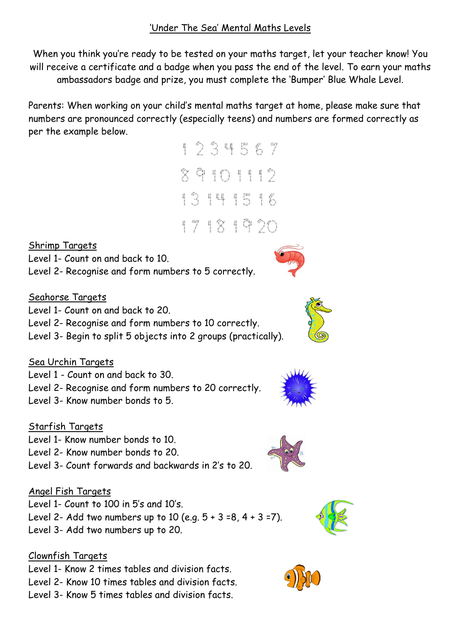When you think you're ready to be tested on your maths target, let your teacher know! You will receive a certificate and a badge when you pass the end of the level. To earn your maths ambassadors badge and prize, you must complete the 'Bumper' Blue Whale Level.

Parents: When working on your child's mental maths target at home, please make sure that numbers are pronounced correctly (especially teens) and numbers are formed correctly as per the example below.



Shrimp Targets Level 1- Count on and back to 10.

Level 2- Recognise and form numbers to 5 correctly.

## Seahorse Targets

Level 1- Count on and back to 20.

Level 2- Recognise and form numbers to 10 correctly.

Level 3- Begin to split 5 objects into 2 groups (practically).

# Sea Urchin Targets

Level 1 - Count on and back to 30.

Level 2- Recognise and form numbers to 20 correctly.

Level 3- Know number bonds to 5.

# Starfish Targets

Level 1- Know number bonds to 10.

Level 2- Know number bonds to 20.

Level 3- Count forwards and backwards in 2's to 20.

### Angel Fish Targets

Level 1- Count to 100 in 5's and 10's.

Level 2- Add two numbers up to 10 (e.g.  $5 + 3 = 8$ ,  $4 + 3 = 7$ ).

Level 3- Add two numbers up to 20.

# Clownfish Targets

Level 1- Know 2 times tables and division facts. Level 2- Know 10 times tables and division facts.

Level 3- Know 5 times tables and division facts.